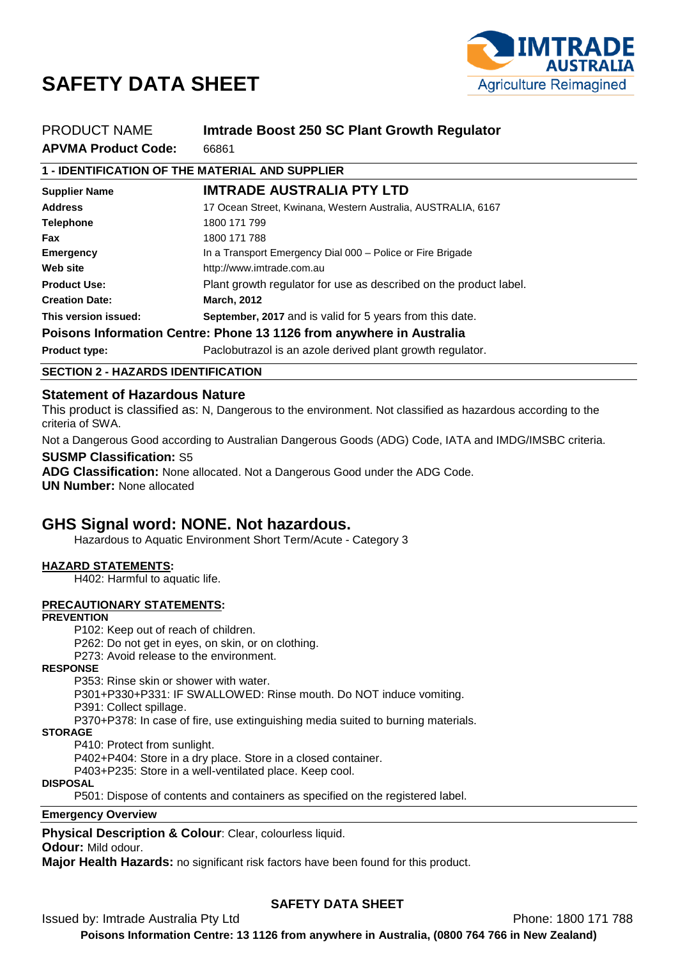# **SAFETY DATA SHEET**



| <b>PRODUCT NAME</b>                                    | Imtrade Boost 250 SC Plant Growth Regulator                          |  |  |
|--------------------------------------------------------|----------------------------------------------------------------------|--|--|
| <b>APVMA Product Code:</b>                             | 66861                                                                |  |  |
| <b>1 - IDENTIFICATION OF THE MATERIAL AND SUPPLIER</b> |                                                                      |  |  |
| <b>Supplier Name</b>                                   | <b>IMTRADE AUSTRALIA PTY LTD</b>                                     |  |  |
| <b>Address</b>                                         | 17 Ocean Street, Kwinana, Western Australia, AUSTRALIA, 6167         |  |  |
| <b>Telephone</b>                                       | 1800 171 799                                                         |  |  |
| Fax                                                    | 1800 171 788                                                         |  |  |
| <b>Emergency</b>                                       | In a Transport Emergency Dial 000 – Police or Fire Brigade           |  |  |
| Web site                                               | http://www.imtrade.com.au                                            |  |  |
| <b>Product Use:</b>                                    | Plant growth regulator for use as described on the product label.    |  |  |
| <b>Creation Date:</b>                                  | <b>March, 2012</b>                                                   |  |  |
| This version issued:                                   | September, 2017 and is valid for 5 years from this date.             |  |  |
|                                                        | Poisons Information Centre: Phone 13 1126 from anywhere in Australia |  |  |
| <b>Product type:</b>                                   | Paclobutrazol is an azole derived plant growth regulator.            |  |  |
| CECTICULO LIAZARRO IRENTIEIOATIONI                     |                                                                      |  |  |

## **SECTION 2 - HAZARDS IDENTIFICATION**

## **Statement of Hazardous Nature**

This product is classified as: N, Dangerous to the environment. Not classified as hazardous according to the criteria of SWA.

Not a Dangerous Good according to Australian Dangerous Goods (ADG) Code, IATA and IMDG/IMSBC criteria.

**SUSMP Classification:** S5 **ADG Classification:** None allocated. Not a Dangerous Good under the ADG Code.

**UN Number:** None allocated

## **GHS Signal word: NONE. Not hazardous.**

Hazardous to Aquatic Environment Short Term/Acute - Category 3

### **HAZARD STATEMENTS:**

H402: Harmful to aquatic life.

#### **PRECAUTIONARY STATEMENTS:**

## **PREVENTION**

P102: Keep out of reach of children.

P262: Do not get in eyes, on skin, or on clothing.

P273: Avoid release to the environment.

## **RESPONSE**

P353: Rinse skin or shower with water.

P301+P330+P331: IF SWALLOWED: Rinse mouth. Do NOT induce vomiting.

P391: Collect spillage.

P370+P378: In case of fire, use extinguishing media suited to burning materials.

**STORAGE**

P410: Protect from sunlight.

P402+P404: Store in a dry place. Store in a closed container.

P403+P235: Store in a well-ventilated place. Keep cool.

#### **DISPOSAL**

P501: Dispose of contents and containers as specified on the registered label.

## **Emergency Overview**

**Physical Description & Colour**: Clear, colourless liquid.

**Odour:** Mild odour.

**Major Health Hazards:** no significant risk factors have been found for this product.

## **SAFETY DATA SHEET**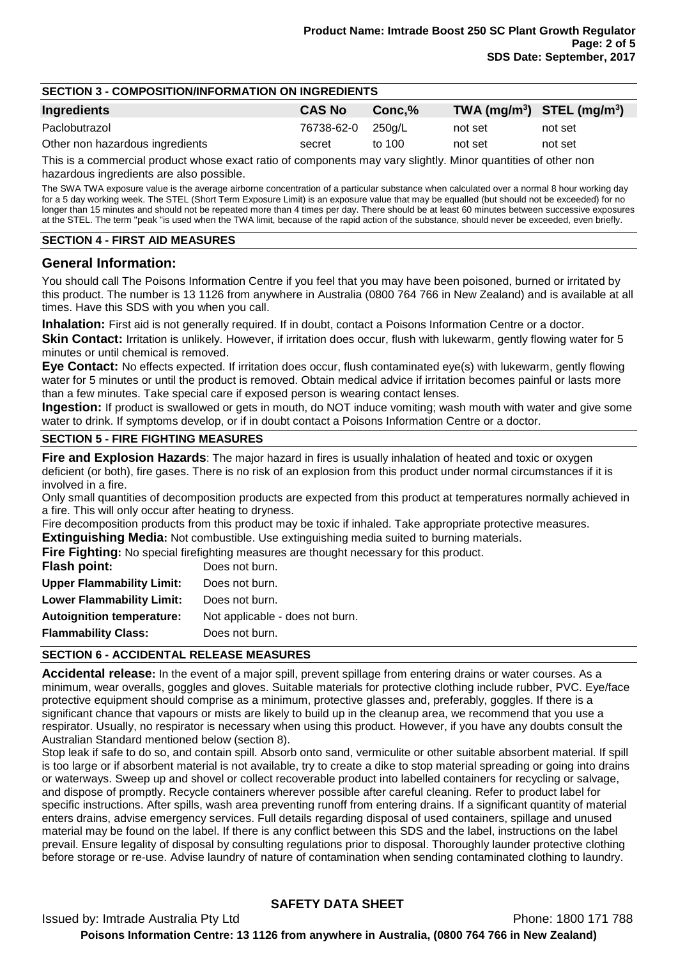| <b>SECTION 3 - COMPOSITION/INFORMATION ON INGREDIENTS</b> |                   |        |                                |         |  |
|-----------------------------------------------------------|-------------------|--------|--------------------------------|---------|--|
| Ingredients                                               | <b>CAS No</b>     | Conc.% | TWA $(mg/m^3)$ STEL $(mg/m^3)$ |         |  |
| Paclobutrazol                                             | 76738-62-0 250g/L |        | not set                        | not set |  |
| Other non hazardous ingredients                           | secret            | to 100 | not set                        | not set |  |

This is a commercial product whose exact ratio of components may vary slightly. Minor quantities of other non hazardous ingredients are also possible.

The SWA TWA exposure value is the average airborne concentration of a particular substance when calculated over a normal 8 hour working day for a 5 day working week. The STEL (Short Term Exposure Limit) is an exposure value that may be equalled (but should not be exceeded) for no longer than 15 minutes and should not be repeated more than 4 times per day. There should be at least 60 minutes between successive exposures at the STEL. The term "peak "is used when the TWA limit, because of the rapid action of the substance, should never be exceeded, even briefly.

## **SECTION 4 - FIRST AID MEASURES**

## **General Information:**

You should call The Poisons Information Centre if you feel that you may have been poisoned, burned or irritated by this product. The number is 13 1126 from anywhere in Australia (0800 764 766 in New Zealand) and is available at all times. Have this SDS with you when you call.

**Inhalation:** First aid is not generally required. If in doubt, contact a Poisons Information Centre or a doctor. **Skin Contact:** Irritation is unlikely. However, if irritation does occur, flush with lukewarm, gently flowing water for 5 minutes or until chemical is removed.

**Eye Contact:** No effects expected. If irritation does occur, flush contaminated eye(s) with lukewarm, gently flowing water for 5 minutes or until the product is removed. Obtain medical advice if irritation becomes painful or lasts more than a few minutes. Take special care if exposed person is wearing contact lenses.

**Ingestion:** If product is swallowed or gets in mouth, do NOT induce vomiting; wash mouth with water and give some water to drink. If symptoms develop, or if in doubt contact a Poisons Information Centre or a doctor.

### **SECTION 5 - FIRE FIGHTING MEASURES**

**Fire and Explosion Hazards**: The major hazard in fires is usually inhalation of heated and toxic or oxygen deficient (or both), fire gases. There is no risk of an explosion from this product under normal circumstances if it is involved in a fire.

Only small quantities of decomposition products are expected from this product at temperatures normally achieved in a fire. This will only occur after heating to dryness.

Fire decomposition products from this product may be toxic if inhaled. Take appropriate protective measures.

**Extinguishing Media:** Not combustible. Use extinguishing media suited to burning materials.

**Fire Fighting:** No special firefighting measures are thought necessary for this product.

| Flash point:                     | Does not burn.                  |
|----------------------------------|---------------------------------|
| <b>Upper Flammability Limit:</b> | Does not burn.                  |
| <b>Lower Flammability Limit:</b> | Does not burn.                  |
| <b>Autoignition temperature:</b> | Not applicable - does not burn. |
| <b>Flammability Class:</b>       | Does not burn.                  |
|                                  |                                 |

### **SECTION 6 - ACCIDENTAL RELEASE MEASURES**

**Accidental release:** In the event of a major spill, prevent spillage from entering drains or water courses. As a minimum, wear overalls, goggles and gloves. Suitable materials for protective clothing include rubber, PVC. Eye/face protective equipment should comprise as a minimum, protective glasses and, preferably, goggles. If there is a significant chance that vapours or mists are likely to build up in the cleanup area, we recommend that you use a respirator. Usually, no respirator is necessary when using this product. However, if you have any doubts consult the Australian Standard mentioned below (section 8).

Stop leak if safe to do so, and contain spill. Absorb onto sand, vermiculite or other suitable absorbent material. If spill is too large or if absorbent material is not available, try to create a dike to stop material spreading or going into drains or waterways. Sweep up and shovel or collect recoverable product into labelled containers for recycling or salvage, and dispose of promptly. Recycle containers wherever possible after careful cleaning. Refer to product label for specific instructions. After spills, wash area preventing runoff from entering drains. If a significant quantity of material enters drains, advise emergency services. Full details regarding disposal of used containers, spillage and unused material may be found on the label. If there is any conflict between this SDS and the label, instructions on the label prevail. Ensure legality of disposal by consulting regulations prior to disposal. Thoroughly launder protective clothing before storage or re-use. Advise laundry of nature of contamination when sending contaminated clothing to laundry.

## **SAFETY DATA SHEET**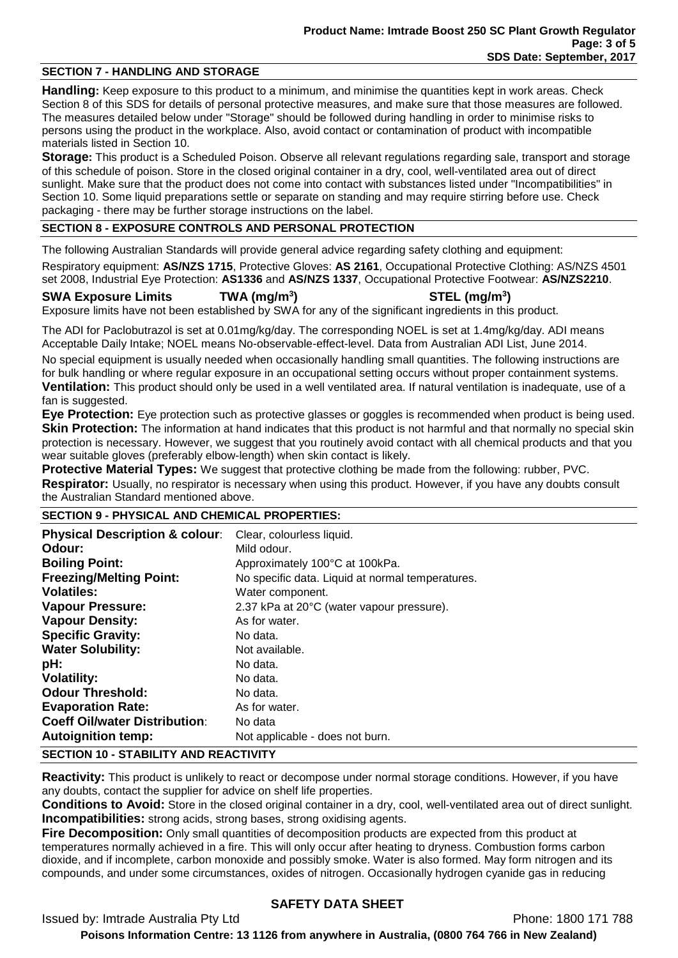#### **SECTION 7 - HANDLING AND STORAGE**

**Handling:** Keep exposure to this product to a minimum, and minimise the quantities kept in work areas. Check Section 8 of this SDS for details of personal protective measures, and make sure that those measures are followed. The measures detailed below under "Storage" should be followed during handling in order to minimise risks to persons using the product in the workplace. Also, avoid contact or contamination of product with incompatible materials listed in Section 10.

**Storage:** This product is a Scheduled Poison. Observe all relevant regulations regarding sale, transport and storage of this schedule of poison. Store in the closed original container in a dry, cool, well-ventilated area out of direct sunlight. Make sure that the product does not come into contact with substances listed under "Incompatibilities" in Section 10. Some liquid preparations settle or separate on standing and may require stirring before use. Check packaging - there may be further storage instructions on the label.

#### **SECTION 8 - EXPOSURE CONTROLS AND PERSONAL PROTECTION**

The following Australian Standards will provide general advice regarding safety clothing and equipment:

Respiratory equipment: **AS/NZS 1715**, Protective Gloves: **AS 2161**, Occupational Protective Clothing: AS/NZS 4501 set 2008, Industrial Eye Protection: **AS1336** and **AS/NZS 1337**, Occupational Protective Footwear: **AS/NZS2210**.

#### **SWA Exposure Limits TWA (mg/m3**

**) STEL (mg/m3 )**

Exposure limits have not been established by SWA for any of the significant ingredients in this product.

The ADI for Paclobutrazol is set at 0.01mg/kg/day. The corresponding NOEL is set at 1.4mg/kg/day. ADI means Acceptable Daily Intake; NOEL means No-observable-effect-level. Data from Australian ADI List, June 2014.

No special equipment is usually needed when occasionally handling small quantities. The following instructions are for bulk handling or where regular exposure in an occupational setting occurs without proper containment systems. **Ventilation:** This product should only be used in a well ventilated area. If natural ventilation is inadequate, use of a fan is suggested.

**Eye Protection:** Eye protection such as protective glasses or goggles is recommended when product is being used. **Skin Protection:** The information at hand indicates that this product is not harmful and that normally no special skin protection is necessary. However, we suggest that you routinely avoid contact with all chemical products and that you wear suitable gloves (preferably elbow-length) when skin contact is likely.

**Protective Material Types:** We suggest that protective clothing be made from the following: rubber, PVC. **Respirator:** Usually, no respirator is necessary when using this product. However, if you have any doubts consult the Australian Standard mentioned above.

| <b>Physical Description &amp; colour:</b>    | Clear, colourless liquid.                        |  |
|----------------------------------------------|--------------------------------------------------|--|
| Odour:                                       | Mild odour.                                      |  |
| <b>Boiling Point:</b>                        | Approximately 100°C at 100kPa.                   |  |
| <b>Freezing/Melting Point:</b>               | No specific data. Liquid at normal temperatures. |  |
| <b>Volatiles:</b>                            | Water component.                                 |  |
| <b>Vapour Pressure:</b>                      | 2.37 kPa at 20°C (water vapour pressure).        |  |
| <b>Vapour Density:</b>                       | As for water.                                    |  |
| <b>Specific Gravity:</b>                     | No data.                                         |  |
| <b>Water Solubility:</b>                     | Not available.                                   |  |
| pH:                                          | No data.                                         |  |
| <b>Volatility:</b>                           | No data.                                         |  |
| <b>Odour Threshold:</b>                      | No data.                                         |  |
| <b>Evaporation Rate:</b>                     | As for water.                                    |  |
| <b>Coeff Oil/water Distribution:</b>         | No data                                          |  |
| <b>Autoignition temp:</b>                    | Not applicable - does not burn.                  |  |
| <b>SECTION 10 - STABILITY AND REACTIVITY</b> |                                                  |  |

## **SECTION 9 - PHYSICAL AND CHEMICAL PROPERTIES:**

**Reactivity:** This product is unlikely to react or decompose under normal storage conditions. However, if you have any doubts, contact the supplier for advice on shelf life properties.

**Conditions to Avoid:** Store in the closed original container in a dry, cool, well-ventilated area out of direct sunlight. **Incompatibilities:** strong acids, strong bases, strong oxidising agents.

**Fire Decomposition:** Only small quantities of decomposition products are expected from this product at temperatures normally achieved in a fire. This will only occur after heating to dryness. Combustion forms carbon dioxide, and if incomplete, carbon monoxide and possibly smoke. Water is also formed. May form nitrogen and its compounds, and under some circumstances, oxides of nitrogen. Occasionally hydrogen cyanide gas in reducing

## **SAFETY DATA SHEET**

Issued by: Imtrade Australia Pty Ltd **Phone: 1800 171 788**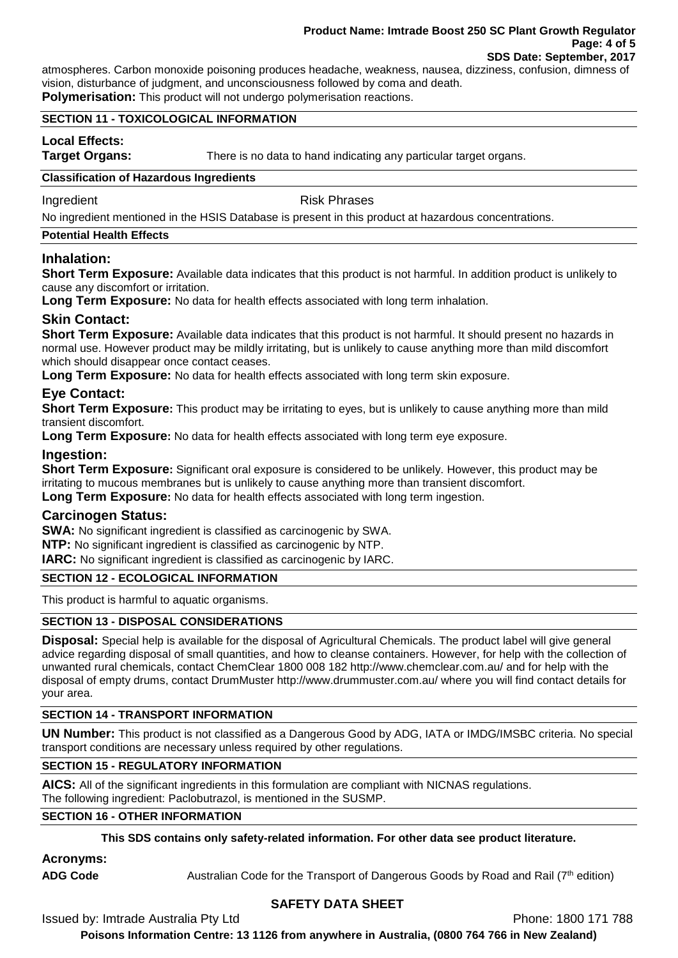atmospheres. Carbon monoxide poisoning produces headache, weakness, nausea, dizziness, confusion, dimness of vision, disturbance of judgment, and unconsciousness followed by coma and death. **Polymerisation:** This product will not undergo polymerisation reactions.

#### **SECTION 11 - TOXICOLOGICAL INFORMATION**

## **Local Effects:**

**Target Organs:** There is no data to hand indicating any particular target organs.

## **Classification of Hazardous Ingredients**

Ingredient **Risk Phrases** 

No ingredient mentioned in the HSIS Database is present in this product at hazardous concentrations.

## **Potential Health Effects**

## **Inhalation:**

**Short Term Exposure:** Available data indicates that this product is not harmful. In addition product is unlikely to cause any discomfort or irritation.

**Long Term Exposure:** No data for health effects associated with long term inhalation.

## **Skin Contact:**

**Short Term Exposure:** Available data indicates that this product is not harmful. It should present no hazards in normal use. However product may be mildly irritating, but is unlikely to cause anything more than mild discomfort which should disappear once contact ceases.

**Long Term Exposure:** No data for health effects associated with long term skin exposure.

## **Eye Contact:**

**Short Term Exposure:** This product may be irritating to eyes, but is unlikely to cause anything more than mild transient discomfort.

**Long Term Exposure:** No data for health effects associated with long term eye exposure.

## **Ingestion:**

**Short Term Exposure:** Significant oral exposure is considered to be unlikely. However, this product may be irritating to mucous membranes but is unlikely to cause anything more than transient discomfort.

**Long Term Exposure:** No data for health effects associated with long term ingestion.

### **Carcinogen Status:**

**SWA:** No significant ingredient is classified as carcinogenic by SWA.

**NTP:** No significant ingredient is classified as carcinogenic by NTP.

**IARC:** No significant ingredient is classified as carcinogenic by IARC.

### **SECTION 12 - ECOLOGICAL INFORMATION**

This product is harmful to aquatic organisms.

### **SECTION 13 - DISPOSAL CONSIDERATIONS**

**Disposal:** Special help is available for the disposal of Agricultural Chemicals. The product label will give general advice regarding disposal of small quantities, and how to cleanse containers. However, for help with the collection of unwanted rural chemicals, contact ChemClear 1800 008 182 http://www.chemclear.com.au/ and for help with the disposal of empty drums, contact DrumMuster http://www.drummuster.com.au/ where you will find contact details for your area.

### **SECTION 14 - TRANSPORT INFORMATION**

**UN Number:** This product is not classified as a Dangerous Good by ADG, IATA or IMDG/IMSBC criteria. No special transport conditions are necessary unless required by other regulations.

### **SECTION 15 - REGULATORY INFORMATION**

**AICS:** All of the significant ingredients in this formulation are compliant with NICNAS regulations. The following ingredient: Paclobutrazol, is mentioned in the SUSMP.

### **SECTION 16 - OTHER INFORMATION**

### **This SDS contains only safety-related information. For other data see product literature.**

**Acronyms:**

ADG Code **Australian Code for the Transport of Dangerous Goods by Road and Rail (7th edition)** 

## **SAFETY DATA SHEET**

Issued by: Imtrade Australia Pty Ltd **Phone: 1800 171 788** 

**Poisons Information Centre: 13 1126 from anywhere in Australia, (0800 764 766 in New Zealand)**